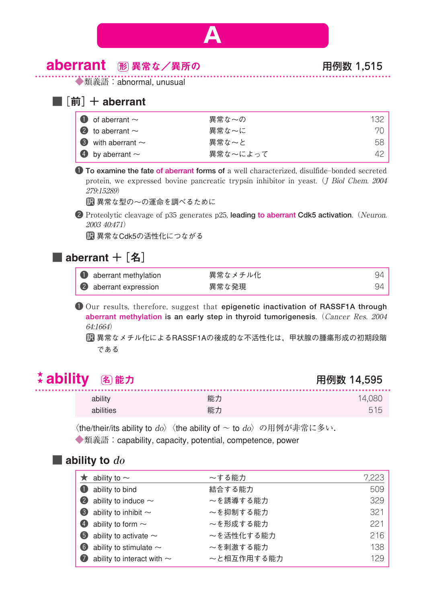

## aberrant 異常な/異所の 用例数 1,515 形

◆類義語: abnormal, unusual

#### ■ $[**î**<sup>†</sup>$  aberrant

| $\bullet$ of aberrant $\sim$   | 異常な~の    | 132 |
|--------------------------------|----------|-----|
| 2 to aberrant $\sim$           | 異常な~に    | 70. |
| $\bullet$ with aberrant $\sim$ | 異常な~と    | 58. |
| 4 by aberrant $\sim$           | 異常な〜によって | 42. |

1 **To examine the fate of aberrant forms of** a well characterized, disulfide–bonded secreted protein, we expressed bovine pancreatic trypsin inhibitor in yeast. (*J Biol Chem. 2004* 279:15289)

異常な型の~の運命を調べるために 訳

2 Proteolytic cleavage of p35 generates p25, leading to aberrant Cdk5 activation. (Neuron. 2003 40:471)

異常なCdk5の活性化につながる 訳

#### ■ aberrant  $+$  [名]

| <b>O</b> aberrant methylation | 異常なメチル化 | 94 |
|-------------------------------|---------|----|
| 2 aberrant expression         | 異常な発現   | 94 |

1 Our results, therefore, suggest that **epigenetic inactivation of RASSF1A through aberrant methylation is an early step in thyroid tumorigenesis**.(Cancer Res. 2004 64:1664)

異常なメチル化によるRASSF1Aの後成的な不活性化は,甲状腺の腫瘍形成の初期段階 訳 である

#### <u>☆</u> ability ④ 能力 はんない インタン インタン 用例数 14,595 (名) 能力

| ability   | 能力 | 14.080 |
|-----------|----|--------|
| abilities | 能力 | 51F    |

 $\langle$ the/their/its ability to  $do \rangle$   $\langle$ the ability of  $\sim$  to  $do \rangle$  の用例が非常に多い.

◆類義語:capability, capacity, potential, competence, power

#### ■ ability to  $do$

|                   | ability to $\sim$                    | ~する能力      | 7,223 |
|-------------------|--------------------------------------|------------|-------|
|                   | <b>t</b> ability to bind             | 結合する能力     | 509   |
|                   | $\bullet$ ability to induce $\sim$   | ~を誘導する能力   | 329   |
|                   | $\bullet$ ability to inhibit $\sim$  | ~を抑制する能力   | 321   |
|                   | 4 ability to form $\sim$             | ~を形成する能力   | 221   |
|                   | $\bullet$ ability to activate $\sim$ | ~を活性化する能力  | 216   |
| $\left( 6\right)$ | ability to stimulate $\sim$          | ~を刺激する能力   | 138   |
|                   | ability to interact with $\sim$      | ~と相互作用する能力 | 129   |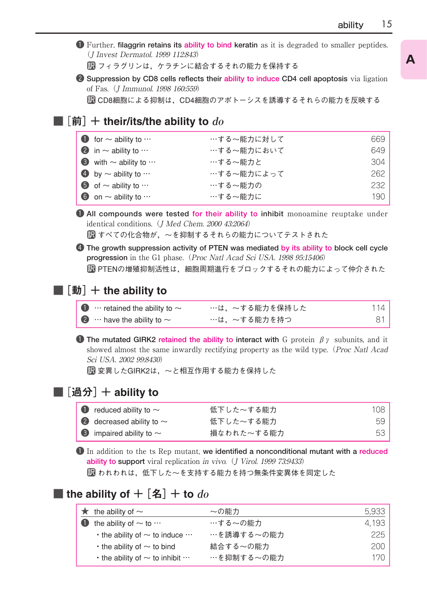1 Further, **filaggrin retains its ability to bind keratin** as it is degraded to smaller peptides. (J Invest Dermatol. 1999 112:843)

フィラグリンは,ケラチンに結合するそれの能力を保持する 訳

2 **Suppression by CD8 cells reflects their ability to induce CD4 cell apoptosis** via ligation of Fas.(J Immunol. 1998 160:559)

CD8細胞による抑制は,CD4細胞のアポトーシスを誘導するそれらの能力を反映する 訳

#### $\blacksquare$ [前] $+$  their/its/the ability to  $do$

| $\bullet$ for $\sim$ ability to $\cdots$ | …する~能力に対して | 669 |
|------------------------------------------|------------|-----|
| $\bullet$ in $\sim$ ability to $\cdots$  | …する~能力において | 649 |
| 3 with $\sim$ ability to $\cdots$        | …する~能力と    | 304 |
| 4 by $\sim$ ability to $\cdots$          | …する~能力によって | 262 |
| $\bullet$ of $\sim$ ability to $\cdots$  | …する~能力の    | 232 |
| 6 on $\sim$ ability to $\cdots$          | …する~能力に    | 190 |

1 **All compounds were tested for their ability to inhibit** monoamine reuptake under identical conditions. (*J Med Chem. 2000 43:2064*)

■■すべての化合物が,~を抑制するそれらの能力についてテストされた

4 **The growth suppression activity of PTEN was mediated by its ability to block cell cycle** progression in the G1 phase. (Proc Natl Acad Sci USA. 1998 95:15406) PTENの増殖抑制活性は,細胞周期進行をブロックするそれの能力によって仲介された 訳

#### ■  $[$ 動 $]$  + the ability to

| $\bullet$ $\cdots$ retained the ability to $\sim$ | …は,~する能力を保持した | 114 |
|---------------------------------------------------|---------------|-----|
| $\bullet$ $\cdots$ have the ability to $\sim$     | …は,~する能力を持つ   | 81. |

1 **The mutated GIRK2 retained the ability to interact with** G protein βγ subunits, and it showed almost the same inwardly rectifying property as the wild type. (*Proc Natl Acad* Sci USA. 2002 99:8430)

変異したGIRK2は,~と相互作用する能力を保持した 訳

#### ■ $[$ 過分 $]$  + ability to

| $\bullet$ reduced ability to $\sim$  | 低下した~する能力  | 108 |
|--------------------------------------|------------|-----|
| 2 decreased ability to $\sim$        | 低下した~する能力  | 59  |
| $\bullet$ impaired ability to $\sim$ | 損なわれた~する能力 | 53  |

1 In addition to the ts Rep mutant, **we identified a nonconditional mutant with a reduced ability to support** viral replication in vivo. (J Virol. 1999 73:9433)

われわれは,低下した~を支持する能力を持つ無条件変異体を同定した 訳

### ■ the ability of  $+$  [名]  $+$  to  $do$

| $\star$ the ability of $\sim$                     | ~の能力       | 5,933 |
|---------------------------------------------------|------------|-------|
| $\bullet$ the ability of $\sim$ to $\cdots$       | …する~の能力    | 4.193 |
| $\cdot$ the ability of $\sim$ to induce $\cdots$  | …を誘導する~の能力 | 225.  |
| $\cdot$ the ability of $\sim$ to bind             | 結合する~の能力   | 200.  |
| $\cdot$ the ability of $\sim$ to inhibit $\cdots$ | …を抑制する~の能力 | 170.  |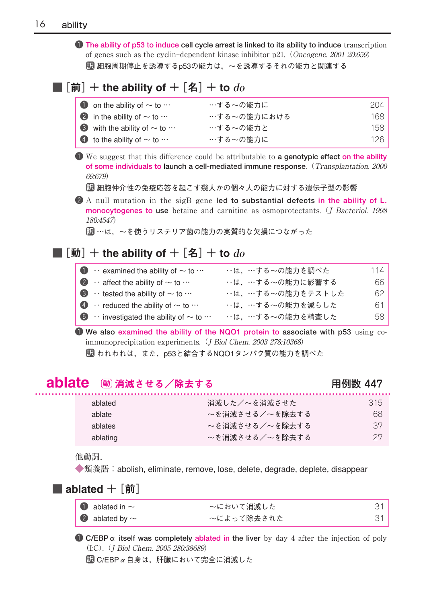1 **The ability of p53 to induce cell cycle arrest is linked to its ability to induce** transcription of genes such as the cyclin–dependent kinase inhibitor p21.(Oncogene. 2001 20:659) 細胞周期停止を誘導するp53の能力は,~を誘導するそれの能力と関連する 訳

## ■[前]+ the ability of +[名]+ to **do**

| $\bullet$ on the ability of $\sim$ to $\cdots$   | …する~の能力に    | 204. |
|--------------------------------------------------|-------------|------|
| 2 in the ability of $\sim$ to $\cdots$           | …する~の能力における | 168  |
| $\bullet$ with the ability of $\sim$ to $\cdots$ | …する~の能力と    | 158  |
| $\bullet$ to the ability of $\sim$ to $\cdots$   | …する~の能力に    | 126  |

1 We suggest that this difference could be attributable to **a genotypic effect on the ability of some individuals to launch a cell-mediated immune response**.(Transplantation. 2000 69:679)

細胞仲介性の免疫応答を起こす幾人かの個々人の能力に対する遺伝子型の影響 訳

2 A null mutation in the sigB gene **led to substantial defects in the ability of L. monocytogenes to use** betaine and carnitine as osmoprotectants. (*J Bacteriol. 1998* 180:4547)

■■ …は,〜を使うリステリア菌の能力の実質的な欠損につながった

## ■[動]+ the ability of +[名]+ to **do**

| $\bullet \cdot \cdot$ examined the ability of $\sim$ to $\cdot \cdot \cdot$ | …は、…する~の能力を調べた   | 114 |
|-----------------------------------------------------------------------------|------------------|-----|
| $\bullet \cdot \cdot$ affect the ability of $\sim$ to $\cdots$              | …は、…する~の能力に影響する  | 66  |
| $\bullet \cdot \cdot$ tested the ability of $\sim$ to $\cdots$              | …は、…する~の能力をテストした | 62. |
| $\bullet \cdot \cdot$ reduced the ability of $\sim$ to $\cdot \cdot \cdot$  | …は、…する~の能力を減らした  | 61  |
| $\bullet \cdot \cdot$ investigated the ability of $\sim$ to $\cdots$        | …は、…する~の能力を精査した  | 58  |

1 **We also examined the ability of the NQO1 protein to associate with p53** using coimmunoprecipitation experiments. (*J Biol Chem. 2003 278:10368*) われわれは,また,p53と結合するNQO1タンパク質の能力を調べた 訳

## <mark>ablate</mark> 動 消滅させる/除去する いっと インスタン のたい 用例数 447

| ablated  | 消滅した/~を消滅させた   | 315 |
|----------|----------------|-----|
| ablate   | ~を消滅させる/~を除去する | 68  |
| ablates  | ~を消滅させる/~を除去する | -37 |
| ablating | ~を消滅させる/~を除去する | 27  |

他動詞.

◆類義語: abolish, eliminate, remove, lose, delete, degrade, deplete, disappear

#### ■ ablated  $+$   $\lceil$ 前 $\rceil$

| $\bullet$ ablated in $\sim$ | ~において消滅した  |  |
|-----------------------------|------------|--|
| 2 ablated by $\sim$         | 〜によって除去された |  |

 $\bullet$  **C/EBP**  $\alpha$  itself was completely ablated in the liver by day 4 after the injection of poly (I:C).(J Biol Chem. 2005 280:38689)

 $\overline{3}$  C/EBP  $\alpha$  自身は, 肝臓において完全に消滅した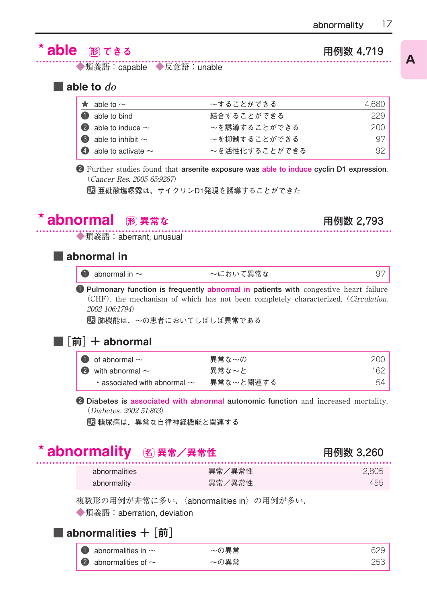# **able** ある はんじゃく はんじゃく はんじゃく はんじゃく 用例数 4,719

◆類義語: capable ◆反意語: unable

■ able to **do**

| $\star$ able to $\sim$           | ~することができる     | 4,680 |
|----------------------------------|---------------|-------|
| <b>1</b> able to bind            | 結合することができる    | 229   |
| 2 able to induce $\sim$          | ~を誘導することができる  | 200   |
| $\bullet$ able to inhibit $\sim$ | ~を抑制することができる  | 97    |
| 4 able to activate $\sim$        | ~を活性化することができる | 92.   |

2 Further studies found that **arsenite exposure was able to induce cyclin D1 expression**. (Cancer Res. 2005 65:9287)

亜砒酸塩曝露は,サイクリンD1発現を誘導することができた 訳

#### abnormal <br>
图 異常な インファント 田例数 2.793 形 異常な

◆類義語: aberrant, unusual

#### ■ abnormal in

| $\bullet$ abnormal in $\sim$ | ~において異常な |  |
|------------------------------|----------|--|
|------------------------------|----------|--|

1 **Pulmonary function is frequently abnormal in patients with** congestive heart failure (CHF), the mechanism of which has not been completely characterized.(Circulation. 2002 106:1794)

肺機能は,~の患者においてしばしば異常である 訳

#### ■ $[$ 前 $]$  + abnormal

| $\bullet$ of abnormal $\sim$            | 異常な~の     | 200  |
|-----------------------------------------|-----------|------|
| 2 with abnormal $\sim$                  | 異常な〜と     | 162. |
| $\cdot$ associated with abnormal $\sim$ | 異常な〜と関連する | 54   |

2 **Diabetes is associated with abnormal autonomic function** and increased mortality. (Diabetes. 2002 51:803)

糖尿病は,異常な自律神経機能と関連する 訳

## abnormality 異常/異常性 用例数 3,260 名

| abnormalities | 異常/異常性 | 2.805 |
|---------------|--------|-------|
| abnormality   | 異常/異常性 | 455   |

複数形の用例が非常に多い.〈abnormalities in〉の用例が多い.

◆類義語:aberration, deviation

## ■ abnormalities  $+$   $\lceil$ 前 $\rceil$

| $\bullet$ abnormalities in $\sim$ | ~の異常 | 629 |
|-----------------------------------|------|-----|
| $\bullet$ abnormalities of $\sim$ | 〜の異常 | 253 |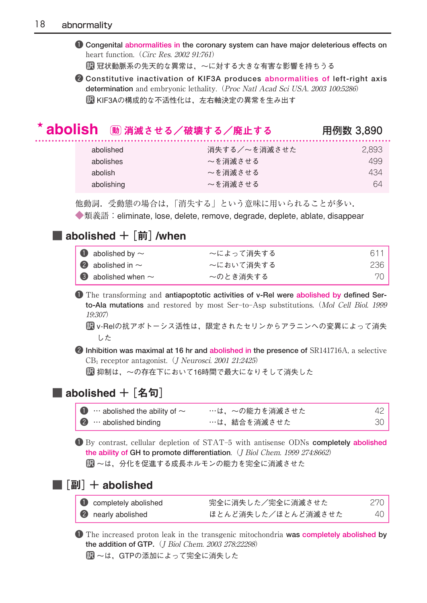1 **Congenital abnormalities in the coronary system can have major deleterious effects on** heart function. (Circ Res. 2002 91:761)

冠状動脈系の先天的な異常は,~に対する大きな有害な影響を持ちうる 訳

2 **Constitutive inactivation of KIF3A produces abnormalities of left-right axis determination** and embryonic lethality.(Proc Natl Acad Sci USA. 2003 100:5286) KIF3Aの構成的な不活性化は,左右軸決定の異常を生み出す 訳

# abolish 消滅させる/破壊する/廃止する 用例数 3,890 動

| abolished  | 消失する/~を消滅させた | 2.893 |
|------------|--------------|-------|
| abolishes  | ~を消滅させる      | 499   |
| abolish    | ~を消滅させる      | 434   |
| abolishing | ~を消滅させる      | 64    |

他動詞.受動態の場合は,「消失する」という意味に用いられることが多い.

◆類義語:eliminate, lose, delete, remove, degrade, deplete, ablate, disappear

#### ■ abolished  $+$   $|\hat{\mathbf{m}}|$  /when

| $\bullet$ abolished by $\sim$   | ~によって消失する | 611 |
|---------------------------------|-----------|-----|
| 2 abolished in $\sim$           | ~において消失する | 236 |
| $\bullet$ abolished when $\sim$ | ~のとき消失する  | 70- |

1 The transforming and **antiapoptotic activities of v-Rel were abolished by defined Serto-Ala mutations** and restored by most Ser–to–Asp substitutions.(Mol Cell Biol. 1999 19:307)

v-Relの抗アポトーシス活性は,限定されたセリンからアラニンへの変異によって消失 訳 した

2 **Inhibition was maximal at 16 hr and abolished in the presence of** SR141716A, a selective CB<sub>1</sub> receptor antagonist. (*J Neurosci. 2001 21:2425*)

抑制は,~の存在下において16時間で最大になりそして消失した 訳

### ■ abolished +[名句]

| $\bullet$ $\cdots$ abolished the ability of $\sim$ | …は,~の能力を消滅させた | 42 |
|----------------------------------------------------|---------------|----|
| $\bullet$ $\cdots$ abolished binding               | …は,結合を消滅させた   | 30 |

1 By contrast, cellular depletion of STAT–5 with antisense ODNs **completely abolished the ability of GH to promote differentiation.** (J Biol Chem. 1999 274:8662) ~は,分化を促進する成長ホルモンの能力を完全に消滅させた 訳

#### ■[副]+ abolished

| completely abolished      | 完全に消失した/完全に消滅させた   | 270 |
|---------------------------|--------------------|-----|
| <b>2</b> nearly abolished | ほとんど消失した/ほとんど消滅させた | 40  |

1 The increased proton leak in the transgenic mitochondria **was completely abolished by the addition of GTP.**(J Biol Chem. 2003 278:22298) 訳 ~は,GTPの添加によって完全に消失した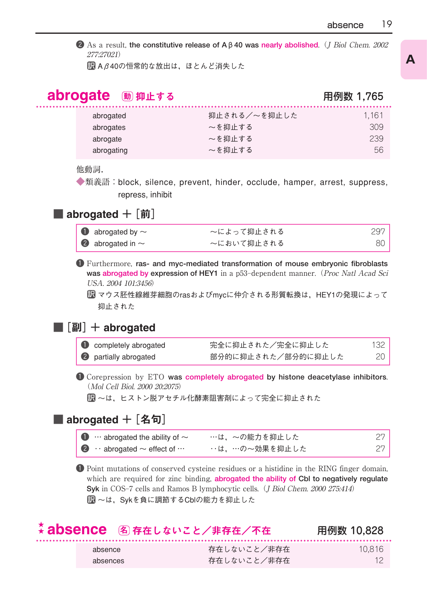2 As a result, the constitutive release of Aβ40 was nearly abolished. (J Biol Chem. 2002) 277:27021)

 $\boxdot$  A  $\beta$  40の恒常的な放出は,ほとんど消失した

## abrogate 動 抑止する いっちゃく いっちゃく りゅう 用例数 1,765

| abrogated  | 抑止される/~を抑止した | 1.161 |
|------------|--------------|-------|
| abrogates  | ~を抑止する       | 309   |
| abrogate   | ~を抑止する       | 239   |
| abrogating | ~を抑止する       | 56    |

#### 他動詞.

◆類義語:block, silence, prevent, hinder, occlude, hamper, arrest, suppress, repress, inhibit

#### ■ abrogated  $+$  [前]

| $\bullet$ abrogated by $\sim$ | ~によって抑止される | 297 |
|-------------------------------|------------|-----|
| 2 abrogated in $\sim$         | ~において抑止される | 80  |

1 Furthermore, **ras- and myc-mediated transformation of mouse embryonic fibroblasts was abrogated by expression of HEY1** in a p53-dependent manner. (Proc Natl Acad Sci USA. 2004 101:3456)

マウス胚性線維芽細胞のrasおよびmycに仲介される形質転換は,HEY1の発現によって 訳 抑止された

#### ■ $[$ 副 $]$  + abrogated

| completely abrogated  | 完全に抑止された/完全に抑止した   | 132 |
|-----------------------|--------------------|-----|
| 2 partially abrogated | 部分的に抑止された/部分的に抑止した | 20  |

1 Corepression by ETO **was completely abrogated by histone deacetylase inhibitors**. (Mol Cell Biol. 2000 20:2075)

~は,ヒストン脱アセチル化酵素阻害剤によって完全に抑止された 訳

#### ■ abrogated + [名句]

| $\bullet$ $\cdots$ abrogated the ability of $\sim$        | …は,~の能力を抑止した  |  |
|-----------------------------------------------------------|---------------|--|
| $\bullet \cdot \cdot$ abrogated $\sim$ effect of $\cdots$ | ‥は,…の〜効果を抑止した |  |

1 Point mutations of conserved cysteine residues or a histidine in the RING finger domain, which are required for zinc binding, **abrogated the ability of Cbl to negatively regulate Syk** in COS-7 cells and Ramos B lymphocytic cells. (*J Biol Chem. 2000 275:414*) ~は,Sykを負に調節するCblの能力を抑止した 訳

|          | ☆ absence 阁存在しないこと/非存在/不在 | 用例数 10.828 |
|----------|---------------------------|------------|
| absence  | 存在しないこと/非存在               | 10.816     |
| absences | 存在しないこと/非存在               | 12         |

## **A**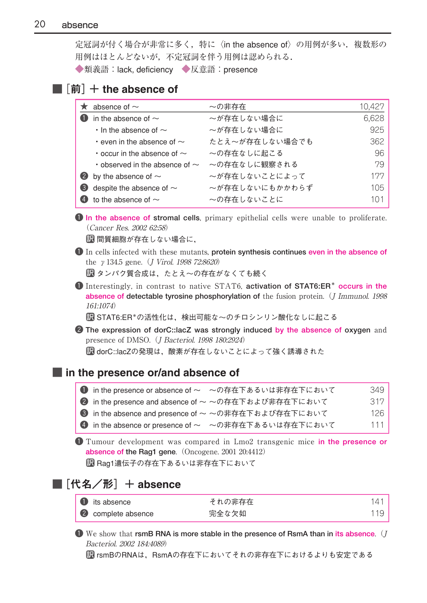定冠詞が付く場合が非常に多く,特に〈in the absence of〉の用例が多い. 複数形の 用例はほとんどないが,不定冠詞を伴う用例は認められる.

◆類義語:lack, deficiency ◆反意語:presence

### ■ $[\hat{\mathbb{m}}]$  + the absence of

|   | $\star$ absence of $\sim$                 | ~の非存在          | 10,427 |
|---|-------------------------------------------|----------------|--------|
|   | in the absence of $\sim$                  | ~が存在しない場合に     | 6,628  |
|   | $\cdot$ In the absence of $\sim$          | ~が存在しない場合に     | 925    |
|   | $\cdot$ even in the absence of $\sim$     | たとえ~が存在しない場合でも | 362    |
|   | $\cdot$ occur in the absence of $\sim$    | ~の存在なしに起こる     | 96     |
|   | $\cdot$ observed in the absence of $\sim$ | ~の存在なしに観察される   | 79     |
|   | 2 by the absence of $\sim$                | ~が存在しないことによって  | 177    |
| 3 | despite the absence of $\sim$             | ~が存在しないにもかかわらず | 105    |
|   | to the absence of $\sim$                  | ~の存在しないことに     | 101    |

1 **In the absence of stromal cells**, primary epithelial cells were unable to proliferate. (Cancer Res. 2002 62:58)

間質細胞が存在しない場合に, 訳

1 In cells infected with these mutants, **protein synthesis continues even in the absence of** the  $\gamma$  134.5 gene. (*J Virol. 1998 72:8620*)

タンパク質合成は,たとえ~の存在がなくても続く 訳

1 Interestingly, in contrast to native STAT6, **activation of STAT6:ER\* occurs in the absence of detectable tyrosine phosphorylation of** the fusion protein.(J Immunol. 1998 161:1074)

STAT6:ER\*の活性化は,検出可能な~のチロシンリン酸化なしに起こる 訳

2 **The expression of dorC::lacZ was strongly induced by the absence of oxygen** and presence of DMSO. (J Bacteriol. 1998 180:2924)

dorC::lacZの発現は,酸素が存在しないことによって強く誘導された 訳

#### ■ in the presence or/and absence of

| <b>●</b> in the presence or absence of ~ ~の存在下あるいは非存在下において | 349  |
|------------------------------------------------------------|------|
| 2 in the presence and absence of ~ ~の存在下および非存在下において        | 317  |
| <b>❸</b> in the absence and presence of ~ ~の非存在下および存在下において | 126. |
| 4 in the absence or presence of ~ ~の非存在下あるいは存在下において        | 111  |

1 Tumour development was compared in Lmo2 transgenic mice **in the presence or absence of the Rag1 gene.** (Oncogene. 2001 20:4412)

Rag1遺伝子の存在下あるいは非存在下において 訳

#### ■[代名/形] + absence

| <b>1</b> its absence      | それの非存在 | 141 |
|---------------------------|--------|-----|
| <b>2</b> complete absence | 完全な欠如  | 119 |

1 We show that **rsmB RNA is more stable in the presence of RsmA than in its absence**.(J Bacteriol. 2002 184:4089)

訳 rsmBのRNAは,RsmAの存在下においてそれの非存在下におけるよりも安定である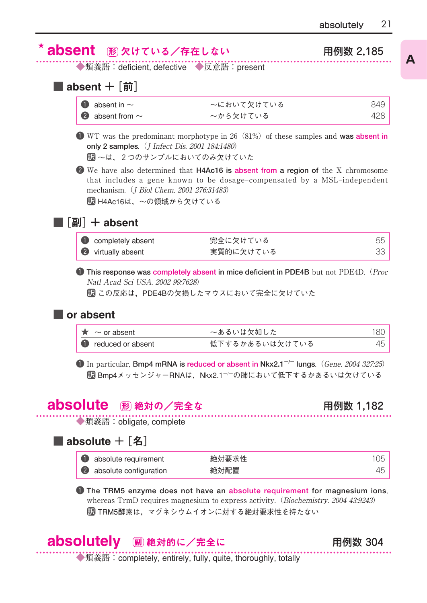**A**

| absent 胴欠けている/存在しない<br>◆類義語:deficient, defective ◆反意語:present              |                                                                                                                                                                             | 用例数 2.185                        |
|----------------------------------------------------------------------------|-----------------------------------------------------------------------------------------------------------------------------------------------------------------------------|----------------------------------|
|                                                                            |                                                                                                                                                                             |                                  |
| absent $+$ [前]                                                             |                                                                                                                                                                             |                                  |
| absent in $\sim$<br>O                                                      | ~において欠けている                                                                                                                                                                  | 849                              |
| absent from $\sim$                                                         | ~から欠けている                                                                                                                                                                    | 428                              |
| only 2 samples. ( <i>J Infect Dis. 2001 184:1480</i> )                     | <b>T</b> WT was the predominant morphotype in 26 (81%) of these samples and <b>was absent in</b>                                                                            |                                  |
| ■ ~は、2つのサンプルにおいてのみ欠けていた                                                    |                                                                                                                                                                             |                                  |
| mechanism. ( <i>J Biol Chem. 2001 276:31483</i> )<br>■ H4Ac16は、~の領域から欠けている | <b>2</b> We have also determined that <b>H4Ac16</b> is absent from a region of the X chromosome<br>that includes a gene known to be dosage-compensated by a MSL-independent |                                  |
| $\lceil$ 副 + absent                                                        |                                                                                                                                                                             | 55                               |
|                                                                            |                                                                                                                                                                             |                                  |
| completely absent<br>virtually absent<br>Natl Acad Sci USA, 2002 99:7628)  | 完全に欠けている<br>実質的に欠けている<br><b>This response was completely absent in mice deficient in PDE4B</b> but not PDE4D. ( <i>Proc</i><br>■■ この反応は,PDE4Bの欠損したマウスにおいて完全に欠けていた           |                                  |
| v<br>or absent                                                             |                                                                                                                                                                             |                                  |
|                                                                            |                                                                                                                                                                             |                                  |
| $\star \sim$ or absent<br>reduced or absent                                | ~あるいは欠如した<br>低下するかあるいは欠けている                                                                                                                                                 |                                  |
| <b>bsolute</b><br>⊮ 絶対の/完全な                                                | $\bullet$ In particular, Bmp4 mRNA is reduced or absent in Nkx2.1 <sup>-/-</sup> lungs. (Gene. 2004 327:25)<br>■ Bmp4メッセンジャーRNAは、Nkx2.1 <sup>-/-</sup> の肺において低下するかあるいは欠けている | 33<br>180<br>45<br>用例数 1<br>,182 |
| ◆類義語: obligate, complete                                                   |                                                                                                                                                                             |                                  |
| absolute $+$ [名]                                                           |                                                                                                                                                                             |                                  |
| O<br>absolute requirement<br>absolute configuration                        | 絶対要求性<br>絶対配置                                                                                                                                                               | 105                              |



◆類義語:completely, entirely, fully, quite, thoroughly, totally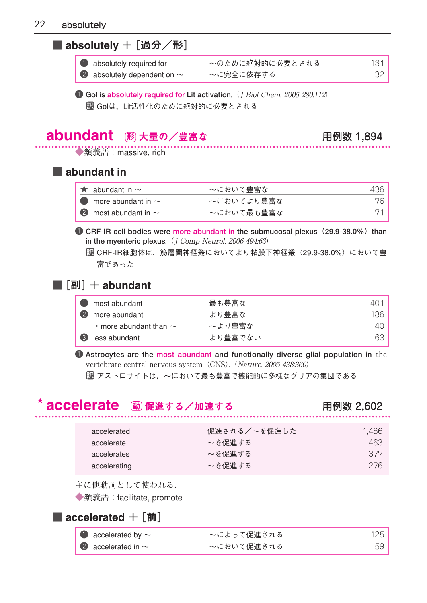### ■ absolutely + [過分/形]

| <b>O</b> absolutely required for         | ~のために絶対的に必要とされる | 131 |
|------------------------------------------|-----------------|-----|
| $\bullet$ absolutely dependent on $\sim$ | ~に完全に依存する       |     |

**1 Gol is absolutely required for Lit activation.** (*J Biol Chem. 2005 280:112*) Golは,Lit活性化のために絶対的に必要とされる 訳

## abundant 大量の/豊富な 用例数 1,894 形

◆類義語: massive, rich

#### ■ abundant in

| $\star$ abundant in $\sim$        | ~において豊富な   | 436 |
|-----------------------------------|------------|-----|
| $\bullet$ more abundant in $\sim$ | ~においてより豊富な | 76. |
| 2 most abundant in $\sim$         | ~において最も豊富な |     |

**1 CRF-IR cell bodies were more abundant in the submucosal plexus (29.9-38.0%) than** in the myenteric plexus. (J Comp Neurol. 2006 494:63)

CRF-IR細胞体は,筋層間神経叢においてより粘膜下神経叢(29.9-38.0%)において豊 訳 富であった

#### ■ $[$ 副 $]$  + abundant

| <b>D</b> most abundant            | 最も豊富な   | 4() |
|-----------------------------------|---------|-----|
| (2)<br>more abundant              | より豊富な   | 186 |
| $\cdot$ more abundant than $\sim$ | ~より豊富な  | 4() |
| (3)<br>less abundant              | より豊富でない | 63  |

1 **Astrocytes are the most abundant and functionally diverse glial population in** the vertebrate central nervous system (CNS). (Nature. 2005 438:360)

■■ アストロサイトは,〜において最も豊富で機能的に多様なグリアの集団である

## <mark>accelerate</mark> 動促進する/加速する インスタンの のかい 用例数 2,602

| accelerated  | 促進される/~を促進した | 1.486 |
|--------------|--------------|-------|
| accelerate   | ~を促進する       | 463   |
| accelerates  | ~を促進する       | 377   |
| accelerating | ~を促進する       | 276   |

主に他動詞として使われる.

◆類義語: facilitate, promote

#### ■ accelerated  $+$  [前]

| $\bullet$ accelerated by $\sim$ | ~によって促進される | 125 |
|---------------------------------|------------|-----|
| $\bullet$ accelerated in $\sim$ | ~において促進される | 59  |